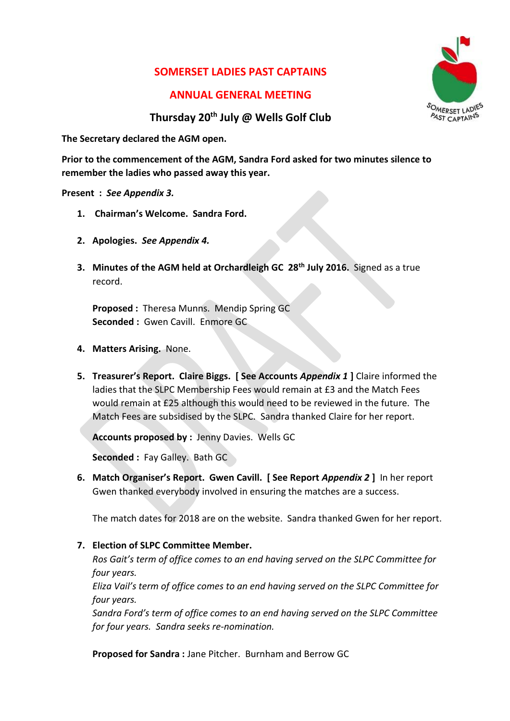## **SOMERSET LADIES PAST CAPTAINS**

### **ANNUAL GENERAL MEETING**



### **Thursday 20th July @ Wells Golf Club**

**The Secretary declared the AGM open.**

**Prior to the commencement of the AGM, Sandra Ford asked for two minutes silence to remember the ladies who passed away this year.** 

**Present :** *See Appendix 3.*

- **1. Chairman's Welcome. Sandra Ford.**
- **2. Apologies.** *See Appendix 4.*
- **3. Minutes of the AGM held at Orchardleigh GC 28th July 2016.** Signed as a true record.

**Proposed :** Theresa Munns. Mendip Spring GC **Seconded :** Gwen Cavill. Enmore GC

- **4. Matters Arising.** None.
- **5. Treasurer's Report. Claire Biggs. [ See Accounts** *Appendix 1* **]** Claire informed the ladies that the SLPC Membership Fees would remain at £3 and the Match Fees would remain at £25 although this would need to be reviewed in the future. The Match Fees are subsidised by the SLPC. Sandra thanked Claire for her report.

**Accounts proposed by :** Jenny Davies. Wells GC

**Seconded :** Fay Galley. Bath GC

**6. Match Organiser's Report. Gwen Cavill. [ See Report** *Appendix 2* **]** In her report Gwen thanked everybody involved in ensuring the matches are a success.

The match dates for 2018 are on the website. Sandra thanked Gwen for her report.

**7. Election of SLPC Committee Member.** 

*Ros Gait's term of office comes to an end having served on the SLPC Committee for four years.*

*Eliza Vail's term of office comes to an end having served on the SLPC Committee for four years.*

*Sandra Ford's term of office comes to an end having served on the SLPC Committee for four years. Sandra seeks re-nomination.*

**Proposed for Sandra :** Jane Pitcher. Burnham and Berrow GC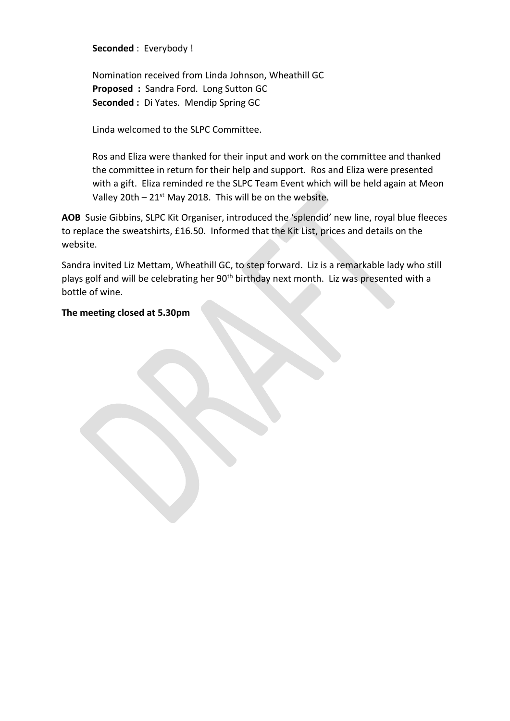**Seconded** : Everybody !

Nomination received from Linda Johnson, Wheathill GC **Proposed :** Sandra Ford. Long Sutton GC **Seconded :** Di Yates. Mendip Spring GC

Linda welcomed to the SLPC Committee.

Ros and Eliza were thanked for their input and work on the committee and thanked the committee in return for their help and support. Ros and Eliza were presented with a gift. Eliza reminded re the SLPC Team Event which will be held again at Meon Valley 20th –  $21^{st}$  May 2018. This will be on the website.

**AOB** Susie Gibbins, SLPC Kit Organiser, introduced the 'splendid' new line, royal blue fleeces to replace the sweatshirts, £16.50. Informed that the Kit List, prices and details on the website.

Sandra invited Liz Mettam, Wheathill GC, to step forward. Liz is a remarkable lady who still plays golf and will be celebrating her 90<sup>th</sup> birthday next month. Liz was presented with a bottle of wine.

### **The meeting closed at 5.30pm**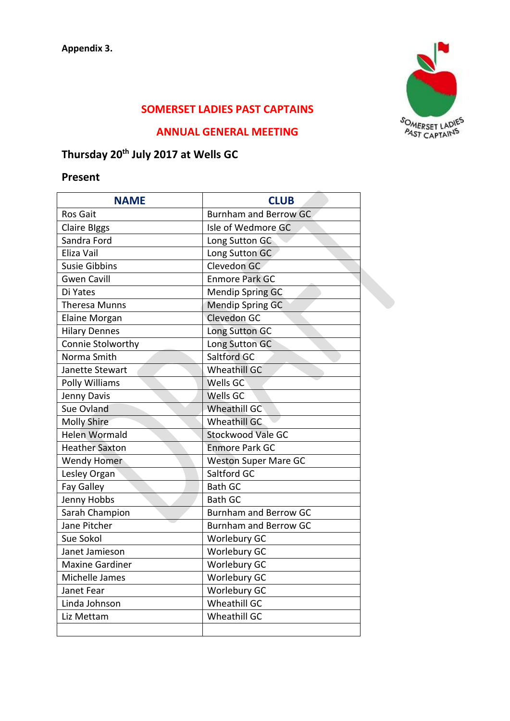

## **SOMERSET LADIES PAST CAPTAINS**

### **ANNUAL GENERAL MEETING**

# **Thursday 20th July 2017 at Wells GC**

## **Present**

| <b>NAME</b>            | <b>CLUB</b>                  |  |  |
|------------------------|------------------------------|--|--|
| <b>Ros Gait</b>        | <b>Burnham and Berrow GC</b> |  |  |
| <b>Claire Blggs</b>    | Isle of Wedmore GC           |  |  |
| Sandra Ford            | Long Sutton GC               |  |  |
| Eliza Vail             | Long Sutton GC               |  |  |
| <b>Susie Gibbins</b>   | Clevedon GC                  |  |  |
| <b>Gwen Cavill</b>     | <b>Enmore Park GC</b>        |  |  |
| Di Yates               | <b>Mendip Spring GC</b>      |  |  |
| <b>Theresa Munns</b>   | <b>Mendip Spring GC</b>      |  |  |
| <b>Elaine Morgan</b>   | Clevedon GC                  |  |  |
| <b>Hilary Dennes</b>   | Long Sutton GC               |  |  |
| Connie Stolworthy      | Long Sutton GC               |  |  |
| Norma Smith            | Saltford GC                  |  |  |
| Janette Stewart        | <b>Wheathill GC</b>          |  |  |
| Polly Williams         | Wells GC                     |  |  |
| Jenny Davis            | <b>Wells GC</b>              |  |  |
| Sue Ovland             | <b>Wheathill GC</b>          |  |  |
| <b>Molly Shire</b>     | <b>Wheathill GC</b>          |  |  |
| <b>Helen Wormald</b>   | <b>Stockwood Vale GC</b>     |  |  |
| <b>Heather Saxton</b>  | <b>Enmore Park GC</b>        |  |  |
| <b>Wendy Homer</b>     | <b>Weston Super Mare GC</b>  |  |  |
| Lesley Organ           | Saltford GC                  |  |  |
| Fay Galley             | <b>Bath GC</b>               |  |  |
| Jenny Hobbs            | <b>Bath GC</b>               |  |  |
| Sarah Champion         | <b>Burnham and Berrow GC</b> |  |  |
| Jane Pitcher           | <b>Burnham and Berrow GC</b> |  |  |
| Sue Sokol              | Worlebury GC                 |  |  |
| Janet Jamieson         | <b>Worlebury GC</b>          |  |  |
| <b>Maxine Gardiner</b> | <b>Worlebury GC</b>          |  |  |
| Michelle James         | <b>Worlebury GC</b>          |  |  |
| Janet Fear             | <b>Worlebury GC</b>          |  |  |
| Linda Johnson          | Wheathill GC                 |  |  |
| Liz Mettam             | <b>Wheathill GC</b>          |  |  |
|                        |                              |  |  |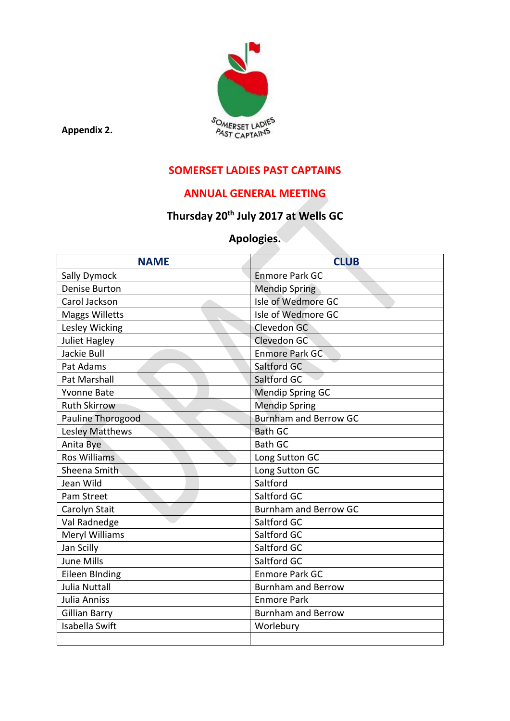

**Appendix 2.**

## **SOMERSET LADIES PAST CAPTAINS**

## **ANNUAL GENERAL MEETING**

# **Thursday 20th July 2017 at Wells GC**

## **Apologies.**

| <b>NAME</b>            | <b>CLUB</b>                  |  |
|------------------------|------------------------------|--|
| Sally Dymock           | <b>Enmore Park GC</b>        |  |
| <b>Denise Burton</b>   | <b>Mendip Spring</b>         |  |
| Carol Jackson          | Isle of Wedmore GC           |  |
| <b>Maggs Willetts</b>  | Isle of Wedmore GC           |  |
| Lesley Wicking         | Clevedon GC                  |  |
| <b>Juliet Hagley</b>   | Clevedon GC                  |  |
| Jackie Bull            | <b>Enmore Park GC</b>        |  |
| Pat Adams              | Saltford GC                  |  |
| <b>Pat Marshall</b>    | Saltford GC                  |  |
| <b>Yvonne Bate</b>     | <b>Mendip Spring GC</b>      |  |
| <b>Ruth Skirrow</b>    | <b>Mendip Spring</b>         |  |
| Pauline Thorogood      | <b>Burnham and Berrow GC</b> |  |
| <b>Lesley Matthews</b> | <b>Bath GC</b>               |  |
| Anita Bye              | <b>Bath GC</b>               |  |
| <b>Ros Williams</b>    | Long Sutton GC               |  |
| Sheena Smith           | Long Sutton GC               |  |
| Jean Wild              | Saltford                     |  |
| Pam Street             | Saltford GC                  |  |
| Carolyn Stait          | <b>Burnham and Berrow GC</b> |  |
| Val Radnedge           | Saltford GC                  |  |
| Meryl Williams         | Saltford GC                  |  |
| Jan Scilly             | Saltford GC                  |  |
| <b>June Mills</b>      | Saltford GC                  |  |
| <b>Eileen BInding</b>  | <b>Enmore Park GC</b>        |  |
| <b>Julia Nuttall</b>   | <b>Burnham and Berrow</b>    |  |
| <b>Julia Anniss</b>    | <b>Enmore Park</b>           |  |
| <b>Gillian Barry</b>   | <b>Burnham and Berrow</b>    |  |
| <b>Isabella Swift</b>  | Worlebury                    |  |
|                        |                              |  |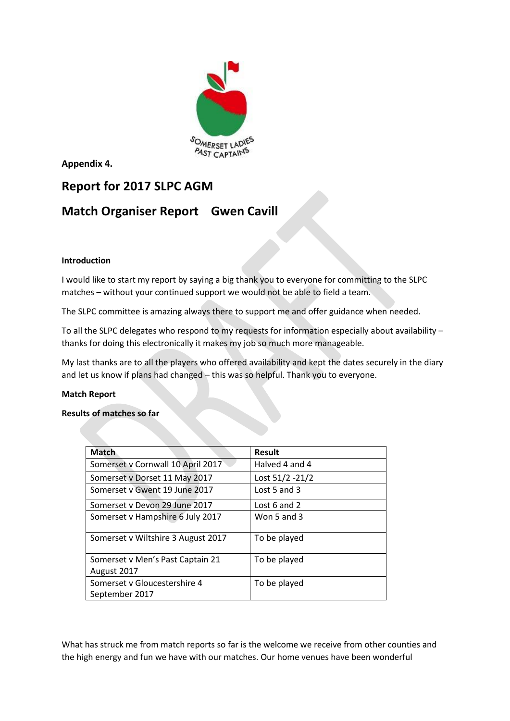

**Appendix 4.**

## **Report for 2017 SLPC AGM**

## **Match Organiser Report Gwen Cavill**

### **Introduction**

I would like to start my report by saying a big thank you to everyone for committing to the SLPC matches – without your continued support we would not be able to field a team.

The SLPC committee is amazing always there to support me and offer guidance when needed.

To all the SLPC delegates who respond to my requests for information especially about availability – thanks for doing this electronically it makes my job so much more manageable.

My last thanks are to all the players who offered availability and kept the dates securely in the diary and let us know if plans had changed – this was so helpful. Thank you to everyone.

#### **Match Report**

#### **Results of matches so far**

| <b>Match</b>                       | <b>Result</b>   |
|------------------------------------|-----------------|
| Somerset v Cornwall 10 April 2017  | Halved 4 and 4  |
| Somerset v Dorset 11 May 2017      | Lost 51/2 -21/2 |
| Somerset y Gwent 19 June 2017      | Lost 5 and 3    |
| Somerset v Devon 29 June 2017      | Lost 6 and 2    |
| Somerset v Hampshire 6 July 2017   | Won 5 and 3     |
| Somerset v Wiltshire 3 August 2017 | To be played    |
| Somerset v Men's Past Captain 21   | To be played    |
| August 2017                        |                 |
| Somerset v Gloucestershire 4       | To be played    |
| September 2017                     |                 |

What has struck me from match reports so far is the welcome we receive from other counties and the high energy and fun we have with our matches. Our home venues have been wonderful